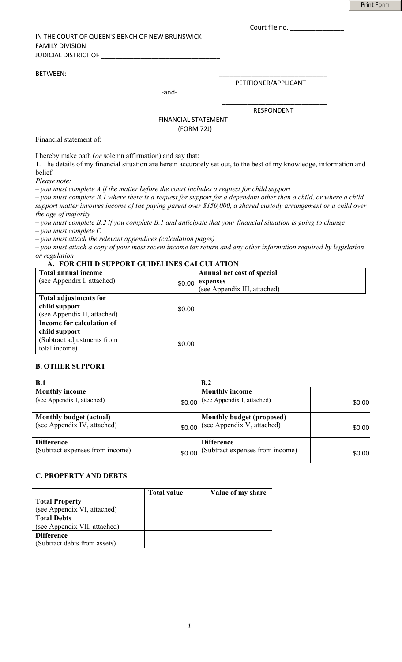### **A. FOR CHILD SUPPORT GUIDELINES CALCULATION**

|                                                                                             |                            |                                                                                                                      | <b>Print Form</b> |
|---------------------------------------------------------------------------------------------|----------------------------|----------------------------------------------------------------------------------------------------------------------|-------------------|
|                                                                                             |                            | Court file no. ________________                                                                                      |                   |
| IN THE COURT OF QUEEN'S BENCH OF NEW BRUNSWICK                                              |                            |                                                                                                                      |                   |
| <b>FAMILY DIVISION</b>                                                                      |                            |                                                                                                                      |                   |
| JUDICIAL DISTRICT OF UNITS AND ALL AND THE UNITS OF                                         |                            |                                                                                                                      |                   |
|                                                                                             |                            |                                                                                                                      |                   |
| <b>BETWEEN:</b>                                                                             |                            |                                                                                                                      |                   |
|                                                                                             |                            | PETITIONER/APPLICANT                                                                                                 |                   |
|                                                                                             | -and-                      |                                                                                                                      |                   |
|                                                                                             |                            | <b>RESPONDENT</b>                                                                                                    |                   |
|                                                                                             | <b>FINANCIAL STATEMENT</b> |                                                                                                                      |                   |
|                                                                                             | (FORM 72J)                 |                                                                                                                      |                   |
| Financial statement of:                                                                     |                            |                                                                                                                      |                   |
|                                                                                             |                            |                                                                                                                      |                   |
| I hereby make oath (or solemn affirmation) and say that:                                    |                            | 1. The details of my financial situation are herein accurately set out, to the best of my knowledge, information and |                   |
| belief.                                                                                     |                            |                                                                                                                      |                   |
| Please note:                                                                                |                            |                                                                                                                      |                   |
| $-$ you must complete A if the matter before the court includes a request for child support |                            |                                                                                                                      |                   |
|                                                                                             |                            | $-$ you must complete B.1 where there is a request for support for a dependant other than a child, or where a child  |                   |
|                                                                                             |                            | support matter involves income of the paying parent over \$150,000, a shared custody arrangement or a child over     |                   |
| the age of majority                                                                         |                            |                                                                                                                      |                   |
| $-$ you must complete $C$                                                                   |                            | $-$ you must complete B.2 if you complete B.1 and anticipate that your financial situation is going to change        |                   |
| - you must attach the relevant appendices (calculation pages)                               |                            |                                                                                                                      |                   |
|                                                                                             |                            | - you must attach a copy of your most recent income tax return and any other information required by legislation     |                   |
| or regulation                                                                               |                            |                                                                                                                      |                   |
| A. FOR CHILD SUPPORT GUIDELINES CALCULATION                                                 |                            |                                                                                                                      |                   |
| <b>Total annual income</b>                                                                  |                            | Annual net cost of special                                                                                           |                   |
| (see Appendix I, attached)                                                                  | \$0.00                     | expenses                                                                                                             |                   |
| <b>Total adjustments for</b>                                                                |                            | (see Appendix III, attached)                                                                                         |                   |
| child support                                                                               |                            |                                                                                                                      |                   |
| (see Appendix II, attached)                                                                 | \$0.00                     |                                                                                                                      |                   |
| Income for calculation of                                                                   |                            |                                                                                                                      |                   |
| child support                                                                               |                            |                                                                                                                      |                   |
| (Subtract adjustments from                                                                  | \$0.00                     |                                                                                                                      |                   |
| total income)                                                                               |                            |                                                                                                                      |                   |
| <b>B. OTHER SUPPORT</b>                                                                     |                            |                                                                                                                      |                   |
| B.1                                                                                         |                            | B.2                                                                                                                  |                   |
| <b>Monthly income</b>                                                                       |                            | <b>Monthly income</b>                                                                                                |                   |
| (see Appendix I, attached)                                                                  | \$0.00                     | (see Appendix I, attached)                                                                                           | \$0.00            |
| <b>Monthly budget (actual)</b>                                                              |                            | Monthly budget (proposed)                                                                                            |                   |
| (see Appendix IV, attached)                                                                 |                            | (see Appendix V, attached)                                                                                           |                   |
|                                                                                             | \$0.00                     |                                                                                                                      | \$0.00            |
| <b>Difference</b>                                                                           |                            | <b>Difference</b>                                                                                                    |                   |
| (Subtract expenses from income)                                                             | \$0.00                     | (Subtract expenses from income)                                                                                      | \$0.00            |
|                                                                                             |                            |                                                                                                                      |                   |

### **B. OTHER SUPPORT**

| B.1                                                           |        | B.2                                                     |        |
|---------------------------------------------------------------|--------|---------------------------------------------------------|--------|
| <b>Monthly income</b><br>(see Appendix I, attached)           | \$0.00 | <b>Monthly income</b><br>(see Appendix I, attached)     | \$0.00 |
| <b>Monthly budget (actual)</b><br>(see Appendix IV, attached) | \$0.00 | Monthly budget (proposed)<br>(see Appendix V, attached) | \$0.00 |
| <b>Difference</b><br>(Subtract expenses from income)          | \$0.00 | <b>Difference</b><br>(Subtract expenses from income)    | \$0.00 |

## **C. PROPERTY AND DEBTS**

|                              | <b>Total value</b> | Value of my share |
|------------------------------|--------------------|-------------------|
| <b>Total Property</b>        |                    |                   |
| (see Appendix VI, attached)  |                    |                   |
| <b>Total Debts</b>           |                    |                   |
| (see Appendix VII, attached) |                    |                   |
| <b>Difference</b>            |                    |                   |
| (Subtract debts from assets) |                    |                   |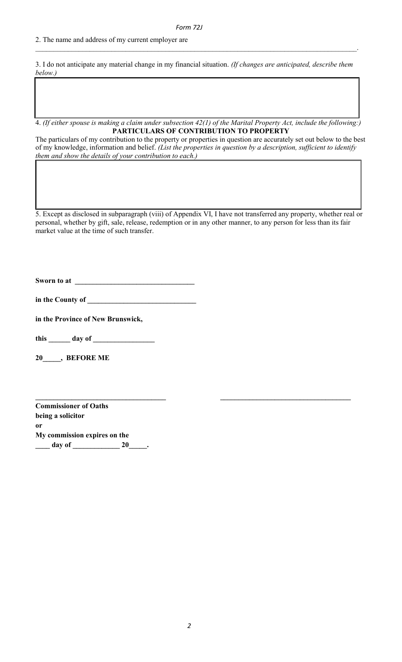#### 2. The name and address of my current employer are

 $\overline{\phantom{a}}$ 

3. I do not anticipate any material change in my financial situation. *(If changes are anticipated, describe them below.)* 

 $\_$ 

4. *(If either spouse is making a claim under subsection 42(1) of the Marital Property Act, include the following:)*  **PARTICULARS OF CONTRIBUTION TO PROPERTY** 

The particulars of my contribution to the property or properties in question are accurately set out below to the best of my knowledge, information and belief. *(List the properties in question by a description, sufficient to identify them and show the details of your contribution to each.)* 

5. Except as disclosed in subparagraph (viii) of Appendix VI, I have not transferred any property, whether real or personal, whether by gift, sale, release, redemption or in any other manner, to any person for less than its fair market value at the time of such transfer.

**\_\_\_\_\_\_\_\_\_\_\_\_\_\_\_\_\_\_\_\_\_\_\_\_\_\_\_\_\_\_\_\_\_\_\_\_ \_\_\_\_\_\_\_\_\_\_\_\_\_\_\_\_\_\_\_\_\_\_\_\_\_\_\_\_\_\_\_\_\_\_\_\_**

**Sworn to at \_\_\_\_\_\_\_\_\_\_\_\_\_\_\_\_\_\_\_\_\_\_\_\_\_\_\_\_\_\_\_\_\_**

**in the County of \_\_\_\_\_\_\_\_\_\_\_\_\_\_\_\_\_\_\_\_\_\_\_\_\_\_\_\_\_\_**

**in the Province of New Brunswick,**

**this \_\_\_\_\_\_ day of \_\_\_\_\_\_\_\_\_\_\_\_\_\_\_\_\_**

**20\_\_\_\_\_, BEFORE ME**

**Commissioner of Oaths being a solicitor or My commission expires on the \_\_\_\_ day of \_\_\_\_\_\_\_\_\_\_\_\_\_ 20\_\_\_\_\_.**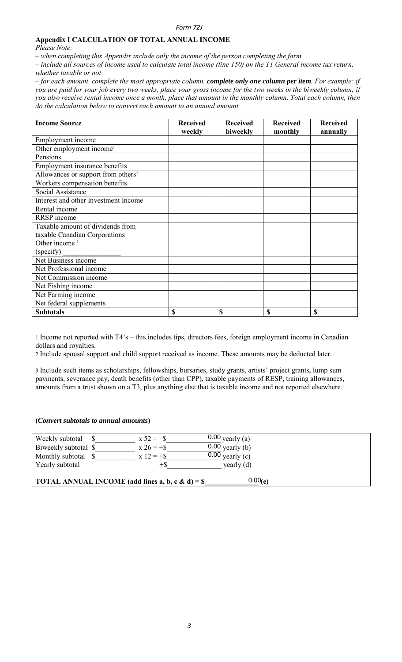## **Appendix I CALCULATION OF TOTAL ANNUAL INCOME**

*Please Note:* 

*– when completing this Appendix include only the income of the person completing the form* 

*– include all sources of income used to calculate total income (line 150) on the T1 General income tax return, whether taxable or not* 

*– for each amount, complete the most appropriate column, complete only one column per item. For example: if you are paid for your job every two weeks, place your gross income for the two weeks in the biweekly column; if you also receive rental income once a month, place that amount in the monthly column. Total each column, then do the calculation below to convert each amount to an annual amount.* 

| <b>Income Source</b>                           | <b>Received</b> | <b>Received</b> | <b>Received</b> | <b>Received</b> |
|------------------------------------------------|-----------------|-----------------|-----------------|-----------------|
|                                                | weekly          | biweekly        | monthly         | annually        |
| Employment income                              |                 |                 |                 |                 |
| Other employment income <sup>1</sup>           |                 |                 |                 |                 |
| Pensions                                       |                 |                 |                 |                 |
| Employment insurance benefits                  |                 |                 |                 |                 |
| Allowances or support from others <sup>2</sup> |                 |                 |                 |                 |
| Workers compensation benefits                  |                 |                 |                 |                 |
| Social Assistance                              |                 |                 |                 |                 |
| Interest and other Investment Income           |                 |                 |                 |                 |
| Rental income                                  |                 |                 |                 |                 |
| <b>RRSP</b> income                             |                 |                 |                 |                 |
| Taxable amount of dividends from               |                 |                 |                 |                 |
| taxable Canadian Corporations                  |                 |                 |                 |                 |
| Other income <sup>3</sup>                      |                 |                 |                 |                 |
| (specify)                                      |                 |                 |                 |                 |
| Net Business income                            |                 |                 |                 |                 |
| Net Professional income                        |                 |                 |                 |                 |
| Net Commission income                          |                 |                 |                 |                 |
| Net Fishing income                             |                 |                 |                 |                 |
| Net Farming income                             |                 |                 |                 |                 |
| Net federal supplements                        |                 |                 |                 |                 |
| <b>Subtotals</b>                               | \$              | \$              | \$              | \$              |

1 Income not reported with T4's – this includes tips, directors fees, foreign employment income in Canadian dollars and royalties.

2 Include spousal support and child support received as income. These amounts may be deducted later.

3 Include such items as scholarships, fellowships, bursaries, study grants, artists' project grants, lump sum payments, severance pay, death benefits (other than CPP), taxable payments of RESP, training allowances, amounts from a trust shown on a T3, plus anything else that is taxable income and not reported elsewhere.

#### **(***Convert subtotals to annual amounts***)**

| Weekly subtotal                                                               |  | $x 52 = 15$  |  | 0.00 yearly (a)   |  |  |
|-------------------------------------------------------------------------------|--|--------------|--|-------------------|--|--|
| Biweekly subtotal \$                                                          |  | $x 26 = +\$$ |  | $0.00$ yearly (b) |  |  |
| Monthly subtotal                                                              |  | $x 12 = +\$$ |  | 0.00 yearly $(c)$ |  |  |
| Yearly subtotal                                                               |  | $+ \S$       |  | yearly $(d)$      |  |  |
|                                                                               |  |              |  |                   |  |  |
| 0.00(e)<br><b>TOTAL ANNUAL INCOME</b> (add lines a, b, c & d) = $\frac{1}{5}$ |  |              |  |                   |  |  |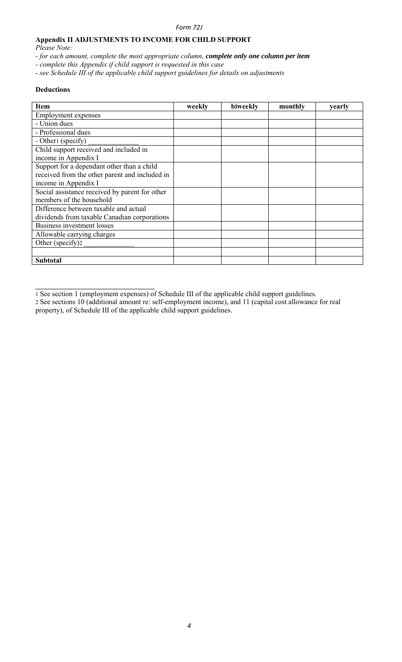## **Appendix II ADJUSTMENTS TO INCOME FOR CHILD SUPPORT**

*Please Note:* 

*- for each amount, complete the most appropriate column, complete only one column per item* 

*- complete this Appendix if child support is requested in this case* 

*- see Schedule III of the applicable child support guidelines for details on adjustments* 

## **Deductions**

| <b>Item</b>                                    | weekly | biweekly | monthly | yearly |
|------------------------------------------------|--------|----------|---------|--------|
| Employment expenses                            |        |          |         |        |
| - Union dues                                   |        |          |         |        |
| - Professional dues                            |        |          |         |        |
| - Other <sub>1</sub> (specify)                 |        |          |         |        |
| Child support received and included in         |        |          |         |        |
| income in Appendix I                           |        |          |         |        |
| Support for a dependant other than a child     |        |          |         |        |
| received from the other parent and included in |        |          |         |        |
| income in Appendix I                           |        |          |         |        |
| Social assistance received by parent for other |        |          |         |        |
| members of the household                       |        |          |         |        |
| Difference between taxable and actual          |        |          |         |        |
| dividends from taxable Canadian corporations   |        |          |         |        |
| Business investment losses                     |        |          |         |        |
| Allowable carrying charges                     |        |          |         |        |
| Other (specify)2                               |        |          |         |        |
|                                                |        |          |         |        |
| <b>Subtotal</b>                                |        |          |         |        |

**\_\_\_\_\_\_\_\_\_\_\_\_\_\_\_\_\_\_\_\_\_\_\_\_\_\_\_\_\_\_\_\_\_**  1 See section 1 (employment expenses) of Schedule III of the applicable child support guidelines.

<sup>2</sup> See sections 10 (additional amount re: self-employment income), and 11 (capital cost allowance for real property), of Schedule III of the applicable child support guidelines.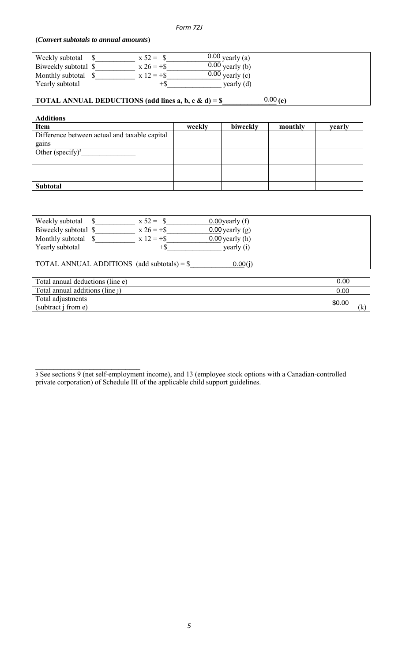## **(***Convert subtotals to annual amounts***)**

| Weekly subtotal      | $x 52 =$ \$  | $0.00$ yearly (a) |
|----------------------|--------------|-------------------|
| Biweekly subtotal \$ | $x 26 = +\$$ | $0.00$ yearly (b) |
| Monthly subtotal     | $x 12 = +S$  | $0.00$ yearly (c) |
| Yearly subtotal      | $+$ S        | yearly $(d)$      |

#### **TOTAL ANNUAL DEDUCTIONS (add lines a, b, c & d) =**  $\mathcal{S}_ \frac{0.00}{e}$

| <b>Additions</b>                              |        |          |         |        |
|-----------------------------------------------|--------|----------|---------|--------|
| <b>Item</b>                                   | weekly | biweekly | monthly | yearly |
| Difference between actual and taxable capital |        |          |         |        |
| gains                                         |        |          |         |        |
| Other (specify) $3$                           |        |          |         |        |
|                                               |        |          |         |        |
|                                               |        |          |         |        |
|                                               |        |          |         |        |
| <b>Subtotal</b>                               |        |          |         |        |

| Weekly subtotal \$                           | $x 52 =$ \$    | $0.00$ yearly $(f)$ |        |    |
|----------------------------------------------|----------------|---------------------|--------|----|
| Biweekly subtotal \$                         | $x 26 = +\$$   | $0.00$ yearly $(g)$ |        |    |
| Monthly subtotal \$                          | $x 12 = +\$$   | $0.00$ yearly (h)   |        |    |
| Yearly subtotal                              | $+$ $\sqrt{5}$ | yearly (i)          |        |    |
|                                              |                |                     |        |    |
| TOTAL ANNUAL ADDITIONS (add subtotals) = $\$ |                | 0.00(j)             |        |    |
|                                              |                |                     |        |    |
| Total annual deductions (line e)             |                |                     | 0.00   |    |
| Total annual additions (line j)              |                |                     | 0.00   |    |
| Total adjustments                            |                |                     | \$0.00 |    |
| (subtract j from e)                          |                |                     |        | (k |

**\_\_\_\_\_\_\_\_\_\_\_\_\_\_\_\_\_\_\_\_\_\_\_\_\_\_\_\_\_**  3 See sections 9 (net self-employment income), and 13 (employee stock options with a Canadian-controlled private corporation) of Schedule III of the applicable child support guidelines.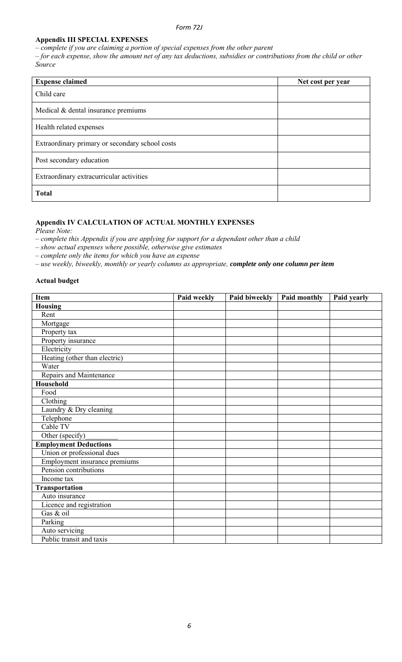### **Appendix III SPECIAL EXPENSES**

*– complete if you are claiming a portion of special expenses from the other parent* 

*– for each expense, show the amount net of any tax deductions, subsidies or contributions from the child or other Source* 

| <b>Expense claimed</b>                          | Net cost per year |
|-------------------------------------------------|-------------------|
| Child care                                      |                   |
| Medical & dental insurance premiums             |                   |
| Health related expenses                         |                   |
| Extraordinary primary or secondary school costs |                   |
| Post secondary education                        |                   |
| Extraordinary extracurricular activities        |                   |
| <b>Total</b>                                    |                   |

### **Appendix IV CALCULATION OF ACTUAL MONTHLY EXPENSES**

*Please Note:* 

*– complete this Appendix if you are applying for support for a dependant other than a child* 

*– show actual expenses where possible, otherwise give estimates* 

*– complete only the items for which you have an expense* 

*– use weekly, biweekly, monthly or yearly columns as appropriate, complete only one column per item* 

### **Actual budget**

| <b>Item</b>                   | Paid weekly | Paid biweekly | Paid monthly | Paid yearly |
|-------------------------------|-------------|---------------|--------------|-------------|
| <b>Housing</b>                |             |               |              |             |
| Rent                          |             |               |              |             |
| Mortgage                      |             |               |              |             |
| Property tax                  |             |               |              |             |
| Property insurance            |             |               |              |             |
| Electricity                   |             |               |              |             |
| Heating (other than electric) |             |               |              |             |
| Water                         |             |               |              |             |
| Repairs and Maintenance       |             |               |              |             |
| <b>Household</b>              |             |               |              |             |
| Food                          |             |               |              |             |
| Clothing                      |             |               |              |             |
| Laundry & Dry cleaning        |             |               |              |             |
| Telephone                     |             |               |              |             |
| Cable TV                      |             |               |              |             |
| Other (specify)               |             |               |              |             |
| <b>Employment Deductions</b>  |             |               |              |             |
| Union or professional dues    |             |               |              |             |
| Employment insurance premiums |             |               |              |             |
| Pension contributions         |             |               |              |             |
| Income tax                    |             |               |              |             |
| Transportation                |             |               |              |             |
| Auto insurance                |             |               |              |             |
| Licence and registration      |             |               |              |             |
| Gas & oil                     |             |               |              |             |
| Parking                       |             |               |              |             |
| Auto servicing                |             |               |              |             |
| Public transit and taxis      |             |               |              |             |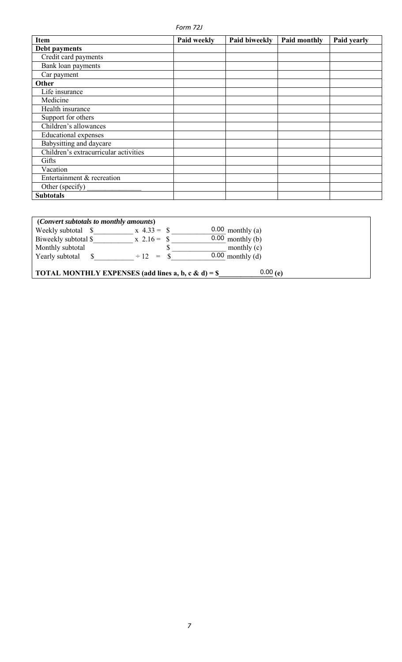| <b>Item</b>                           | Paid weekly | Paid biweekly | Paid monthly | Paid yearly |
|---------------------------------------|-------------|---------------|--------------|-------------|
| Debt payments                         |             |               |              |             |
| Credit card payments                  |             |               |              |             |
| Bank loan payments                    |             |               |              |             |
| Car payment                           |             |               |              |             |
| Other                                 |             |               |              |             |
| Life insurance                        |             |               |              |             |
| Medicine                              |             |               |              |             |
| Health insurance                      |             |               |              |             |
| Support for others                    |             |               |              |             |
| Children's allowances                 |             |               |              |             |
| <b>Educational expenses</b>           |             |               |              |             |
| Babysitting and daycare               |             |               |              |             |
| Children's extracurricular activities |             |               |              |             |
| Gifts                                 |             |               |              |             |
| Vacation                              |             |               |              |             |
| Entertainment & recreation            |             |               |              |             |
| Other (specify)                       |             |               |              |             |
| <b>Subtotals</b>                      |             |               |              |             |

| (Convert subtotals to monthly amounts)                       |                     |                    |
|--------------------------------------------------------------|---------------------|--------------------|
| Weekly subtotal \$                                           | $x \, 4.33 = \, \$$ | 0.00 monthly (a)   |
| Biweekly subtotal \$                                         | $x \ 2.16 = \$      | $0.00$ monthly (b) |
| Monthly subtotal                                             |                     | monthly $(c)$      |
| Yearly subtotal                                              | $\div 12 =$ \$      | $0.00$ monthly (d) |
| <b>TOTAL MONTHLY EXPENSES</b> (add lines a, b, c & d) = $\S$ |                     | 0.00(e)            |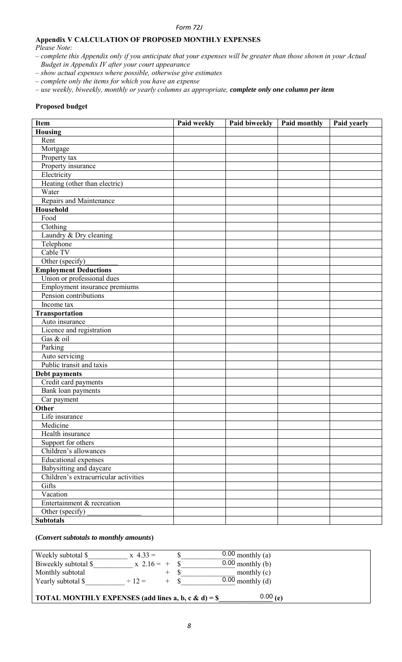# **Appendix V CALCULATION OF PROPOSED MONTHLY EXPENSES**

*Please Note:* 

- *complete this Appendix only if you anticipate that your expenses will be greater than those shown in your Actual Budget in Appendix IV after your court appearance*
- *show actual expenses where possible, otherwise give estimates*
- *complete only the items for which you have an expense*
- *use weekly, biweekly, monthly or yearly columns as appropriate, complete only one column per item*

#### **Proposed budget**

| <b>Item</b>                           | Paid weekly | Paid biweekly | Paid monthly | Paid yearly |
|---------------------------------------|-------------|---------------|--------------|-------------|
| <b>Housing</b>                        |             |               |              |             |
| Rent                                  |             |               |              |             |
| Mortgage                              |             |               |              |             |
| Property tax                          |             |               |              |             |
| Property insurance                    |             |               |              |             |
| Electricity                           |             |               |              |             |
| Heating (other than electric)         |             |               |              |             |
| Water                                 |             |               |              |             |
| Repairs and Maintenance               |             |               |              |             |
| <b>Household</b>                      |             |               |              |             |
| Food                                  |             |               |              |             |
| Clothing                              |             |               |              |             |
| Laundry & Dry cleaning                |             |               |              |             |
| Telephone                             |             |               |              |             |
| Cable TV                              |             |               |              |             |
| Other (specify)                       |             |               |              |             |
| <b>Employment Deductions</b>          |             |               |              |             |
| Union or professional dues            |             |               |              |             |
| Employment insurance premiums         |             |               |              |             |
| Pension contributions                 |             |               |              |             |
| Income tax                            |             |               |              |             |
| Transportation                        |             |               |              |             |
| Auto insurance                        |             |               |              |             |
| Licence and registration              |             |               |              |             |
| Gas & oil                             |             |               |              |             |
| Parking                               |             |               |              |             |
| Auto servicing                        |             |               |              |             |
| Public transit and taxis              |             |               |              |             |
| <b>Debt payments</b>                  |             |               |              |             |
| Credit card payments                  |             |               |              |             |
| Bank loan payments                    |             |               |              |             |
| Car payment                           |             |               |              |             |
| Other                                 |             |               |              |             |
| Life insurance                        |             |               |              |             |
| Medicine                              |             |               |              |             |
| Health insurance                      |             |               |              |             |
| Support for others                    |             |               |              |             |
| Children's allowances                 |             |               |              |             |
| <b>Educational expenses</b>           |             |               |              |             |
| Babysitting and daycare               |             |               |              |             |
| Children's extracurricular activities |             |               |              |             |
| Gifts                                 |             |               |              |             |
| Vacation                              |             |               |              |             |
| Entertainment & recreation            |             |               |              |             |
| Other (specify)                       |             |               |              |             |
| <b>Subtotals</b>                      |             |               |              |             |

#### **(***Convert subtotals to monthly amounts***)**

| Weekly subtotal \$                                                    | $x \ 4.33 =$   | $0.00$ monthly (a) |
|-----------------------------------------------------------------------|----------------|--------------------|
| Biweekly subtotal \$                                                  | $x \ 2.16 = +$ | $0.00$ monthly (b) |
| Monthly subtotal                                                      |                | monthly $(c)$      |
| Yearly subtotal \$                                                    | $\div 12 =$    | $0.00$ monthly (d) |
| <b>TOTAL MONTHLY EXPENSES</b> (add lines a, b, c & d) = $\frac{1}{3}$ |                | 0.00(e)            |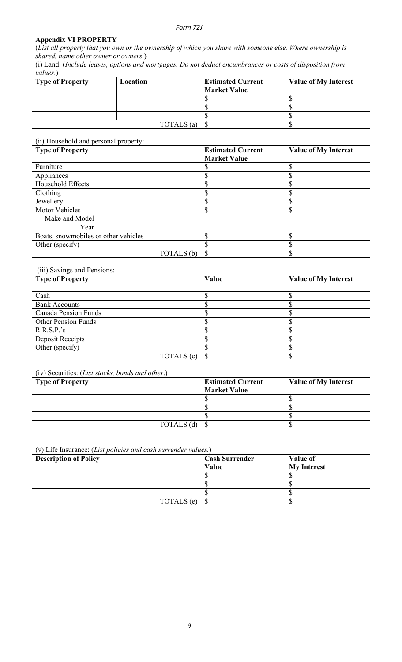## **Appendix VI PROPERTY**

*Form 72J* 

(*List all property that you own or the ownership of which you share with someone else. Where ownership is shared, name other owner or owners.*)

(i) Land: (*Include leases, options and mortgages. Do not deduct encumbrances or costs of disposition from values.*)

| <b>Type of Property</b> | Location     | <b>Estimated Current</b> | <b>Value of My Interest</b> |
|-------------------------|--------------|--------------------------|-----------------------------|
|                         |              | <b>Market Value</b>      |                             |
|                         |              |                          |                             |
|                         |              |                          |                             |
|                         |              |                          |                             |
|                         | TOTALS $(a)$ |                          |                             |

(ii) Household and personal property:

| <b>Type of Property</b>              |            | <b>Estimated Current</b> | <b>Value of My Interest</b> |
|--------------------------------------|------------|--------------------------|-----------------------------|
|                                      |            | <b>Market Value</b>      |                             |
| Furniture                            |            | S                        |                             |
| Appliances                           |            | \$                       |                             |
| <b>Household Effects</b>             |            | \$                       |                             |
| Clothing                             |            | \$                       |                             |
| Jewellery                            |            | \$                       |                             |
| Motor Vehicles                       |            | \$                       |                             |
| Make and Model                       |            |                          |                             |
| Year                                 |            |                          |                             |
| Boats, snowmobiles or other vehicles |            | \$                       |                             |
| Other (specify)                      |            | \$                       |                             |
|                                      | TOTALS (b) | - \$                     |                             |

### (iii) Savings and Pensions:

| <b>Type of Property</b>     | Value | <b>Value of My Interest</b> |
|-----------------------------|-------|-----------------------------|
|                             |       |                             |
| Cash                        |       |                             |
| <b>Bank Accounts</b>        |       |                             |
| <b>Canada Pension Funds</b> |       |                             |
| <b>Other Pension Funds</b>  |       |                             |
| R.R.S.P.'s                  |       |                             |
| Deposit Receipts            |       |                             |
| Other (specify)             |       |                             |
| TOTALS $(c)$                |       |                             |

(iv) Securities: (*List stocks, bonds and other*.)

| <b>Type of Property</b> | <b>Estimated Current</b> | <b>Value of My Interest</b> |
|-------------------------|--------------------------|-----------------------------|
|                         | <b>Market Value</b>      |                             |
|                         |                          |                             |
|                         |                          |                             |
|                         |                          |                             |
| TOTALS (d)              |                          |                             |

(v) Life Insurance: (*List policies and cash surrender values.*)

| <b>Description of Policy</b> | <b>Cash Surrender</b> | <b>Value of</b>    |
|------------------------------|-----------------------|--------------------|
|                              | Value                 | <b>My Interest</b> |
|                              |                       |                    |
|                              |                       |                    |
|                              |                       |                    |
| TOTALS $(e)$                 |                       |                    |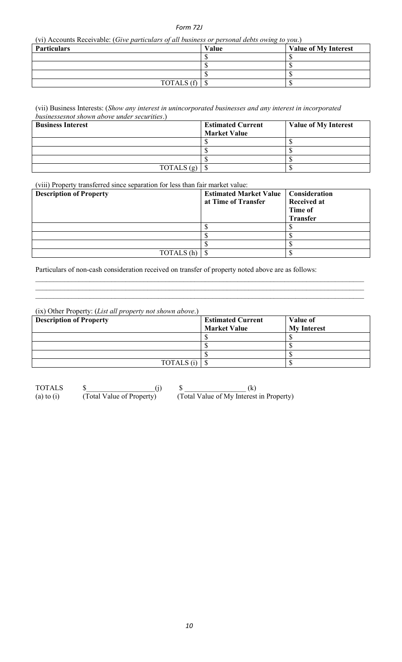(vi) Accounts Receivable: (*Give particulars of all business or personal debts owing to you*.)

| <b>Particulars</b> | Value | <b>Value of My Interest</b> |
|--------------------|-------|-----------------------------|
|                    |       |                             |
|                    |       |                             |
|                    |       |                             |
| TOTALS (f)         |       |                             |

(vii) Business Interests: (*Show any interest in unincorporated businesses and any interest in incorporated businessesnot shown above under securities*.)

| <b>Business Interest</b> | <b>Estimated Current</b> | <b>Value of My Interest</b> |
|--------------------------|--------------------------|-----------------------------|
|                          | <b>Market Value</b>      |                             |
|                          |                          |                             |
|                          |                          |                             |
|                          |                          |                             |
| TOTALS $(g)$             |                          |                             |

(viii) Property transferred since separation for less than fair market value:

| <b>Description of Property</b> | <b>Estimated Market Value   Consideration</b><br>at Time of Transfer | <b>Received at</b><br>Time of |
|--------------------------------|----------------------------------------------------------------------|-------------------------------|
|                                |                                                                      | <b>Transfer</b>               |
|                                |                                                                      |                               |
|                                |                                                                      |                               |
|                                |                                                                      |                               |
| TOTALS (h)                     |                                                                      |                               |

\_\_\_\_\_\_\_\_\_\_\_\_\_\_\_\_\_\_\_\_\_\_\_\_\_\_\_\_\_\_\_\_\_\_\_\_\_\_\_\_\_\_\_\_\_\_\_\_\_\_\_\_\_\_\_\_\_\_\_\_\_\_\_\_\_\_\_\_\_\_\_\_\_\_\_\_\_\_\_\_\_\_\_\_\_\_\_\_\_\_\_ \_\_\_\_\_\_\_\_\_\_\_\_\_\_\_\_\_\_\_\_\_\_\_\_\_\_\_\_\_\_\_\_\_\_\_\_\_\_\_\_\_\_\_\_\_\_\_\_\_\_\_\_\_\_\_\_\_\_\_\_\_\_\_\_\_\_\_\_\_\_\_\_\_\_\_\_\_\_\_\_\_\_\_\_\_\_\_\_\_\_\_ \_\_\_\_\_\_\_\_\_\_\_\_\_\_\_\_\_\_\_\_\_\_\_\_\_\_\_\_\_\_\_\_\_\_\_\_\_\_\_\_\_\_\_\_\_\_\_\_\_\_\_\_\_\_\_\_\_\_\_\_\_\_\_\_\_\_\_\_\_\_\_\_\_\_\_\_\_\_\_\_\_\_\_\_\_\_\_\_\_\_\_

Particulars of non-cash consideration received on transfer of property noted above are as follows:

### (ix) Other Property: (*List all property not shown above*.)

| <b>Description of Property</b> | <b>Estimated Current</b><br><b>Market Value</b> | Value of<br><b>My Interest</b> |
|--------------------------------|-------------------------------------------------|--------------------------------|
|                                |                                                 |                                |
|                                |                                                 |                                |
|                                |                                                 |                                |
| TOTALS (i)                     |                                                 |                                |

| <b>TOTALS</b>  |                           |  | (k)                                      |
|----------------|---------------------------|--|------------------------------------------|
| $(a)$ to $(i)$ | (Total Value of Property) |  | (Total Value of My Interest in Property) |